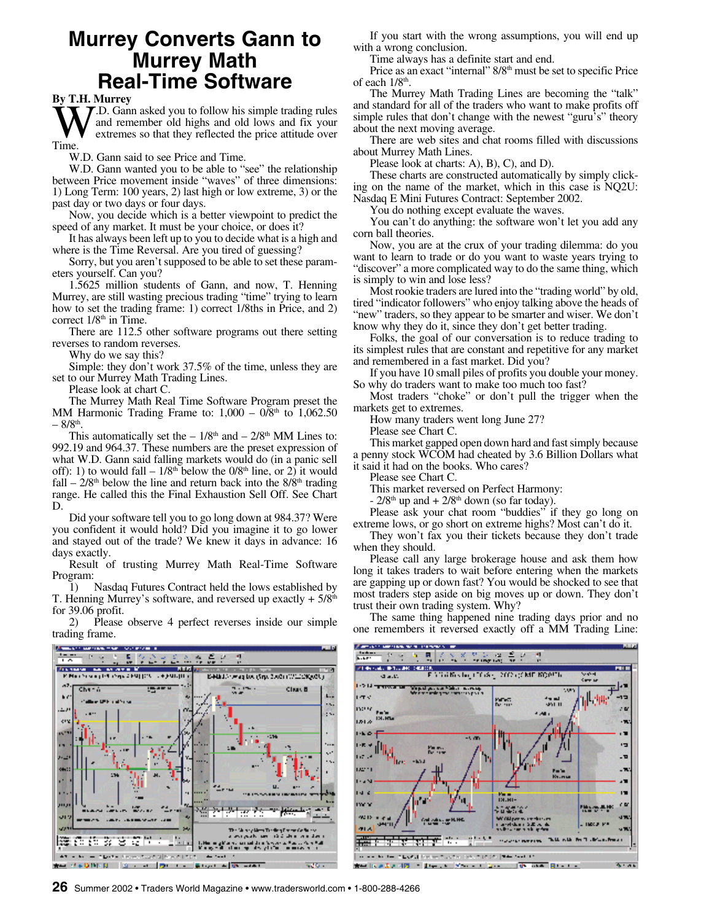### **Murrey Converts Gann to Murrey Math Real-Time Software**

**By T.H. Murrey**

 $\sum_{\text{Time.}}$ **T**.D. Gann asked you to follow his simple trading rules and remember old highs and old lows and fix your extremes so that they reflected the price attitude over

W.D. Gann said to see Price and Time.

W.D. Gann wanted you to be able to "see" the relationship between Price movement inside "waves" of three dimensions: 1) Long Term: 100 years, 2) last high or low extreme, 3) or the past day or two days or four days.

Now, you decide which is a better viewpoint to predict the speed of any market. It must be your choice, or does it?

It has always been left up to you to decide what is a high and where is the Time Reversal. Are you tired of guessing?

Sorry, but you aren't supposed to be able to set these parameters yourself. Can you?

1.5625 million students of Gann, and now, T. Henning Murrey, are still wasting precious trading "time" trying to learn how to set the trading frame: 1) correct 1/8ths in Price, and 2) correct 1/8<sup>th</sup> in Time.

There are 112.5 other software programs out there setting reverses to random reverses.

Why do we say this?

Simple: they don't work 37.5% of the time, unless they are set to our Murrey Math Trading Lines.

Please look at chart C.

The Murrey Math Real Time Software Program preset the MM Harmonic Trading Frame to:  $1,000 - 0/8$ <sup>th</sup> to  $1,062.50$  $-8/8$ <sup>th</sup>.

This automatically set the  $-1/8<sup>th</sup>$  and  $-2/8<sup>th</sup>$  MM Lines to: 992.19 and 964.37. These numbers are the preset expression of what W.D. Gann said falling markets would do (in a panic sell off): 1) to would fall  $-1/8<sup>th</sup>$  below the  $0/8<sup>th</sup>$  line, or 2) it would fall –  $2/8$ <sup>th</sup> below the line and return back into the  $8/8$ <sup>th</sup> trading range. He called this the Final Exhaustion Sell Off. See Chart D.

Did your software tell you to go long down at 984.37? Were you confident it would hold? Did you imagine it to go lower and stayed out of the trade? We knew it days in advance: 16 days exactly.

Result of trusting Murrey Math Real-Time Software Program:

1) Nasdaq Futures Contract held the lows established by T. Henning Murrey's software, and reversed up exactly  $+ 5/8<sup>th</sup>$ for 39.06 profit.

2) Please observe 4 perfect reverses inside our simple trading frame.

If you start with the wrong assumptions, you will end up with a wrong conclusion.

Time always has a definite start and end.

Price as an exact "internal" 8/8<sup>th</sup> must be set to specific Price of each  $1/8<sup>th</sup>$ .

The Murrey Math Trading Lines are becoming the "talk" and standard for all of the traders who want to make profits off simple rules that don't change with the newest "guru's" theory about the next moving average.

There are web sites and chat rooms filled with discussions about Murrey Math Lines.

Please look at charts: A), B), C), and D).

These charts are constructed automatically by simply clicking on the name of the market, which in this case is NQ2U: Nasdaq E Mini Futures Contract: September 2002.

You do nothing except evaluate the waves.

You can't do anything: the software won't let you add any corn ball theories.

Now, you are at the crux of your trading dilemma: do you want to learn to trade or do you want to waste years trying to "discover" a more complicated way to do the same thing, which is simply to win and lose less?

Most rookie traders are lured into the "trading world" by old, tired "indicator followers" who enjoy talking above the heads of "new" traders, so they appear to be smarter and wiser. We don't know why they do it, since they don't get better trading.

Folks, the goal of our conversation is to reduce trading to its simplest rules that are constant and repetitive for any market and remembered in a fast market. Did you?

If you have 10 small piles of profits you double your money. So why do traders want to make too much too fast?

Most traders "choke" or don't pull the trigger when the markets get to extremes.

How many traders went long June 27?

Please see Chart C.

This market gapped open down hard and fast simply because a penny stock WCOM had cheated by 3.6 Billion Dollars what it said it had on the books. Who cares?

Please see Chart C.

This market reversed on Perfect Harmony:

 $-$  2/8<sup>th</sup> up and  $+$  2/8<sup>th</sup> down (so far today).

Please ask your chat room "buddies" if they go long on extreme lows, or go short on extreme highs? Most can't do it.

They won't fax you their tickets because they don't trade when they should.

Please call any large brokerage house and ask them how long it takes traders to wait before entering when the markets are gapping up or down fast? You would be shocked to see that most traders step aside on big moves up or down. They don't trust their own trading system. Why?

The same thing happened nine trading days prior and no one remembers it reversed exactly off a MM Trading Line:



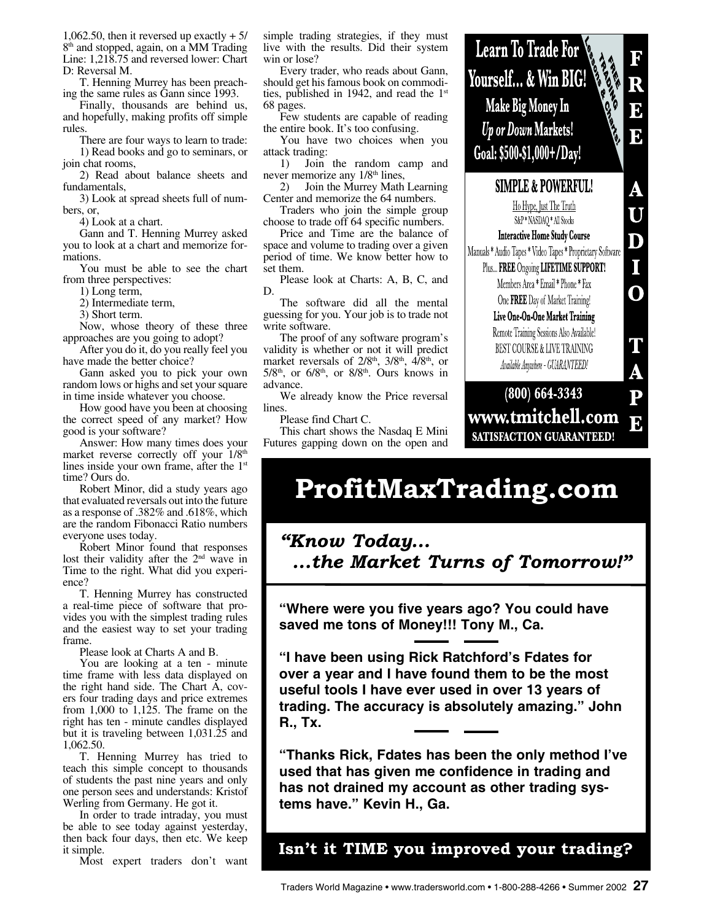1,062.50, then it reversed up exactly  $+ 5/$ 8 th and stopped, again, on a MM Trading Line: 1,218.75 and reversed lower: Chart D: Reversal M.

T. Henning Murrey has been preaching the same rules as Gann since 1993.

Finally, thousands are behind us, and hopefully, making profits off simple rules.

There are four ways to learn to trade: 1) Read books and go to seminars, or join chat rooms,

2) Read about balance sheets and fundamentals,

3) Look at spread sheets full of numbers, or,

4) Look at a chart.

Gann and T. Henning Murrey asked you to look at a chart and memorize formations.

You must be able to see the chart from three perspectives:

1) Long term,

2) Intermediate term,

3) Short term.

Now, whose theory of these three approaches are you going to adopt?

After you do it, do you really feel you have made the better choice?

Gann asked you to pick your own random lows or highs and set your square in time inside whatever you choose.

How good have you been at choosing the correct speed of any market? How good is your software?

Answer: How many times does your market reverse correctly off your 1/8<sup>th</sup> lines inside your own frame, after the 1st time? Ours do.

Robert Minor, did a study years ago that evaluated reversals out into the future as a response of .382% and .618%, which are the random Fibonacci Ratio numbers everyone uses today.

Robert Minor found that responses lost their validity after the 2<sup>nd</sup> wave in Time to the right. What did you experience?

T. Henning Murrey has constructed a real-time piece of software that provides you with the simplest trading rules and the easiest way to set your trading frame.

Please look at Charts A and B.

You are looking at a ten - minute time frame with less data displayed on the right hand side. The Chart A, covers four trading days and price extremes from  $1,000$  to  $1,125$ . The frame on the right has ten - minute candles displayed but it is traveling between 1,031.25 and 1,062.50.

T. Henning Murrey has tried to teach this simple concept to thousands of students the past nine years and only one person sees and understands: Kristof Werling from Germany. He got it.

In order to trade intraday, you must be able to see today against yesterday, then back four days, then etc. We keep it simple.

Most expert traders don't want

simple trading strategies, if they must live with the results. Did their system win or lose?

Every trader, who reads about Gann, should get his famous book on commodities, published in 1942, and read the 1st 68 pages.

Few students are capable of reading the entire book. It's too confusing.

You have two choices when you attack trading:

1) Join the random camp and never memorize any  $1/8<sup>th</sup>$  lines,

2) Join the Murrey Math Learning Center and memorize the 64 numbers.

Traders who join the simple group choose to trade off 64 specific numbers.

Price and Time are the balance of space and volume to trading over a given period of time. We know better how to set them.

Please look at Charts: A, B, C, and D.

The software did all the mental guessing for you. Your job is to trade not write software.

The proof of any software program's validity is whether or not it will predict market reversals of  $2/8^{\text{th}}$ ,  $3/8^{\text{th}}$ ,  $4/8^{\text{th}}$ , or  $5/8$ <sup>th</sup>, or  $6/8$ <sup>th</sup>, or  $8/8$ <sup>th</sup>. Ours knows in advance.

We already know the Price reversal lines.

Please find Chart C.

This chart shows the Nasdaq E Mini Futures gapping down on the open and

 $U_{\text{norm}}$  **T**<sub>m</sub>  $U_{\text{norm}}$   $V_{\text{norm}}$   $V_{\text{norm}}$ **EQUALITY FIGURE 501 WAS F** Yourself... & Win BIG!  $\overline{\textbf{R}}$ Make Big Money In 5 Up or Down Markets!  $\overline{\mathbf{b}}$ Goal: \$500-\$1,000+/Day!  $\overline{\mathbf{A}}$ **SIMPLE & POWERFUL!** Ho Hype, Just The Truth Ū S&P\*NASDAQ \* All Stocks **Interactive Home Study Course**  $\mathbf D$ 

Manuals \* Audio Tapes \* Video Tapes \* Proprietary Software Plus... FREE Ongoing LIFETIME SUPPORT! Members Area \* Email \* Phone \* Fax

I

 $\overline{\textbf{O}}$ 

T

A

One FREE Day of Market Training! Live One-On-One Market Training

Remote Training Sessions Also Available! BEST COURSE & LIVE TRAINING

Available Anywhere - GUARANTEED!

#### $(800)$  664-3343  $\overline{\mathbf{P}}$ www.tmitchell.com B. SATISFACTION GUARANTEED!

# **ProfitMaxTrading.com**

*"Know Today... ...the Market Turns of Tomorrow!"*

**"Where were you five years ago? You could have saved me tons of Money!!! Tony M., Ca.**

**"I have been using Rick Ratchford's Fdates for over a year and I have found them to be the most useful tools I have ever used in over 13 years of trading. The accuracy is absolutely amazing." John R., Tx.**

**"Thanks Rick, Fdates has been the only method I've used that has given me confidence in trading and has not drained my account as other trading systems have." Kevin H., Ga.**

**Isn't it TIME you improved your trading?**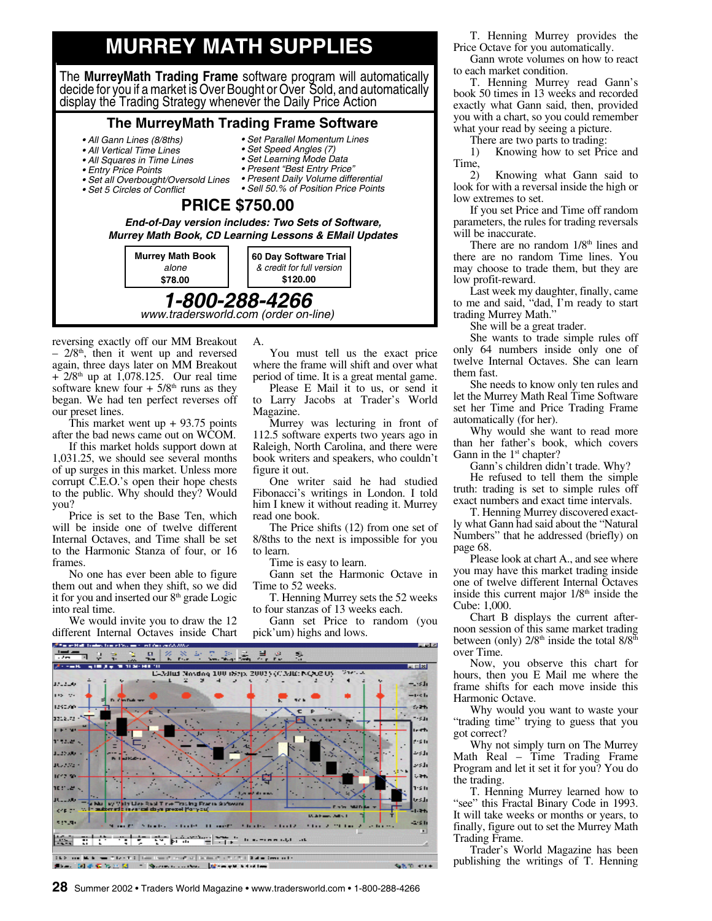## **MURREY MATH SUPPLIES**

The **MurreyMath Trading Frame** software program will automatically decide for you if a market is Over Bought or Over Sold, and automatically display the Trading Strategy whenever the Daily Price Action

#### **The MurreyMath Trading Frame Software**

• Set Parallel Momentum Lines • Set Speed Angles (7) • Set Learning Mode Data • Present "Best Entry Price" • Present Daily Volume differential • Sell 50.% of Position Price Points

- All Gann Lines (8/8ths)
- All Vertical Time Lines
- All Squares in Time Lines
- Entry Price Points
- Set all Overbought/Oversold Lines
- Set 5 Circles of Conflict

#### **PRICE \$750.00 End-of-Day version includes: Two Sets of Software,**

**Murrey Math Book, CD Learning Lessons & EMail Updates**

A.



reversing exactly off our MM Breakout  $-2/8$ <sup>th</sup>, then it went up and reversed again, three days later on MM Breakout  $+ 2/8$ <sup>th</sup> up at 1,078.125. Our real time software knew four  $+ 5/8$ <sup>th</sup> runs as they began. We had ten perfect reverses off our preset lines.

This market went  $up + 93.75$  points after the bad news came out on WCOM.

If this market holds support down at 1,031.25, we should see several months of up surges in this market. Unless more corrupt C.E.O.'s open their hope chests to the public. Why should they? Would you?

Price is set to the Base Ten, which will be inside one of twelve different Internal Octaves, and Time shall be set to the Harmonic Stanza of four, or 16 frames.

No one has ever been able to figure them out and when they shift, so we did it for you and inserted our  $8<sup>th</sup>$  grade Logic into real time.

We would invite you to draw the 12 different Internal Octaves inside Chart

You must tell us the exact price where the frame will shift and over what period of time. It is a great mental game.

Please E Mail it to us, or send it to Larry Jacobs at Trader's World Magazine.

Murrey was lecturing in front of 112.5 software experts two years ago in Raleigh, North Carolina, and there were book writers and speakers, who couldn't figure it out.

One writer said he had studied Fibonacci's writings in London. I told him I knew it without reading it. Murrey read one book.

The Price shifts (12) from one set of 8/8ths to the next is impossible for you to learn.

Time is easy to learn.

Gann set the Harmonic Octave in Time to 52 weeks.

T. Henning Murrey sets the 52 weeks to four stanzas of 13 weeks each.

Gann set Price to random (you pick'um) highs and lows.



T. Henning Murrey provides the Price Octave for you automatically.

Gann wrote volumes on how to react to each market condition.

T. Henning Murrey read Gann's book 50 times in 13 weeks and recorded exactly what Gann said, then, provided you with a chart, so you could remember what your read by seeing a picture.

There are two parts to trading:

1) Knowing how to set Price and  $\begin{pmatrix} 1 & 2 \\ 2 & 1 \end{pmatrix}$ 

2) Knowing what Gann said to look for with a reversal inside the high or low extremes to set.

If you set Price and Time off random parameters, the rules for trading reversals will be inaccurate.

There are no random  $1/8<sup>th</sup>$  lines and there are no random Time lines. You may choose to trade them, but they are low profit-reward.

Last week my daughter, finally, came to me and said, "dad, I'm ready to start trading Murrey Math."

She will be a great trader.

She wants to trade simple rules off only 64 numbers inside only one of twelve Internal Octaves. She can learn them fast.

She needs to know only ten rules and let the Murrey Math Real Time Software set her Time and Price Trading Frame automatically (for her).

Why would she want to read more than her father's book, which covers Gann in the 1<sup>st</sup> chapter?

Gann's children didn't trade. Why?

He refused to tell them the simple truth: trading is set to simple rules off exact numbers and exact time intervals.

T. Henning Murrey discovered exactly what Gann had said about the "Natural Numbers" that he addressed (briefly) on page 68.

Please look at chart A., and see where you may have this market trading inside one of twelve different Internal Octaves inside this current major  $1/8<sup>th</sup>$  inside the Cube: 1,000.

Chart B displays the current afternoon session of this same market trading between (only)  $2/8<sup>th</sup>$  inside the total  $8/8<sup>th</sup>$ over Time.

Now, you observe this chart for hours, then you E Mail me where the frame shifts for each move inside this Harmonic Octave.

Why would you want to waste your "trading time" trying to guess that you got correct?

Why not simply turn on The Murrey Math Real – Time Trading Frame Program and let it set it for you? You do the trading.

T. Henning Murrey learned how to "see" this Fractal Binary Code in 1993. It will take weeks or months or years, to finally, figure out to set the Murrey Math Trading Frame.

Trader's World Magazine has been publishing the writings of T. Henning

**28** Summer 2002 • Traders World Magazine • www.tradersworld.com • 1-800-288-4266